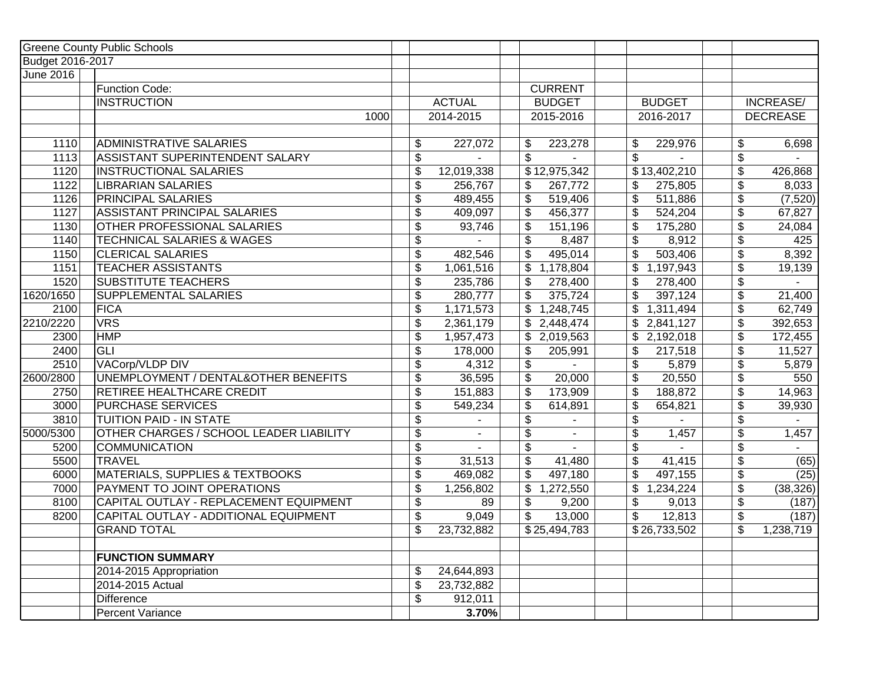|                  | <b>Greene County Public Schools</b>        |                           |                 |                         |                |                                   |                                  |                  |
|------------------|--------------------------------------------|---------------------------|-----------------|-------------------------|----------------|-----------------------------------|----------------------------------|------------------|
| Budget 2016-2017 |                                            |                           |                 |                         |                |                                   |                                  |                  |
| <b>June 2016</b> |                                            |                           |                 |                         |                |                                   |                                  |                  |
|                  | Function Code:                             |                           |                 |                         | <b>CURRENT</b> |                                   |                                  |                  |
|                  | <b>INSTRUCTION</b>                         |                           | <b>ACTUAL</b>   |                         | <b>BUDGET</b>  | <b>BUDGET</b>                     |                                  | <b>INCREASE/</b> |
|                  | 1000                                       |                           | 2014-2015       |                         | 2015-2016      | 2016-2017                         |                                  | <b>DECREASE</b>  |
|                  |                                            |                           |                 |                         |                |                                   |                                  |                  |
| 1110             | <b>ADMINISTRATIVE SALARIES</b>             | $\frac{1}{2}$             | 227,072         | \$                      | 223,278        | \$<br>229,976                     | \$                               | 6,698            |
| 1113             | <b>ASSISTANT SUPERINTENDENT SALARY</b>     | $\overline{\mathbf{S}}$   |                 | $\overline{\mathbf{3}}$ |                | \$                                | $\overline{\boldsymbol{\theta}}$ |                  |
| 1120             | <b>INSTRUCTIONAL SALARIES</b>              | $\boldsymbol{\theta}$     | 12,019,338      |                         | \$12,975,342   | \$13,402,210                      | $\overline{\boldsymbol{\theta}}$ | 426,868          |
| 1122             | <b>LIBRARIAN SALARIES</b>                  | $\boldsymbol{\theta}$     | 256,767         | \$                      | 267,772        | \$<br>275,805                     | \$                               | 8,033            |
| 1126             | <b>PRINCIPAL SALARIES</b>                  | $\boldsymbol{\mathsf{S}}$ | 489,455         | \$                      | 519,406        | \$<br>511,886                     | $\overline{\boldsymbol{\theta}}$ | (7, 520)         |
| 1127             | <b>ASSISTANT PRINCIPAL SALARIES</b>        | \$                        | 409,097         | \$                      | 456,377        | \$<br>524,204                     | \$                               | 67,827           |
| 1130             | OTHER PROFESSIONAL SALARIES                | \$                        | 93,746          | \$                      | 151,196        | $\overline{\$}$<br>175,280        | $\overline{\$}$                  | 24,084           |
| 1140             | <b>TECHNICAL SALARIES &amp; WAGES</b>      | \$                        |                 | \$                      | 8,487          | \$<br>8,912                       | \$                               | 425              |
| 1150             | <b>CLERICAL SALARIES</b>                   | $\boldsymbol{\mathsf{S}}$ | 482,546         | \$                      | 495,014        | \$<br>503,406                     | \$                               | 8,392            |
| 1151             | <b>TEACHER ASSISTANTS</b>                  | $\boldsymbol{\theta}$     | 1,061,516       | \$                      | 1,178,804      | \$<br>1,197,943                   | $\overline{\$}$                  | 19,139           |
| 1520             | <b>SUBSTITUTE TEACHERS</b>                 | $\boldsymbol{\mathsf{S}}$ | 235,786         | \$                      | 278,400        | \$<br>278,400                     | $\boldsymbol{\theta}$            |                  |
| 1620/1650        | SUPPLEMENTAL SALARIES                      | $\overline{\mathcal{L}}$  | 280,777         | \$                      | 375,724        | \$<br>397,124                     | $\overline{\$}$                  | 21,400           |
| 2100             | FICA                                       | $\boldsymbol{\mathsf{S}}$ | 1,171,573       | \$                      | 1,248,745      | \$<br>1,311,494                   | $\overline{\mathcal{L}}$         | 62,749           |
| 2210/2220        | <b>VRS</b>                                 | $\overline{\mathcal{L}}$  | 2,361,179       | \$                      | 2,448,474      | \$2,841,127                       | $\overline{\$}$                  | 392,653          |
| 2300             | <b>HMP</b>                                 | $\boldsymbol{\theta}$     | 1,957,473       | \$                      | 2,019,563      | \$<br>2,192,018                   | $\overline{\mathcal{L}}$         | 172,455          |
| 2400             | <b>GLI</b>                                 | \$                        | 178,000         | \$                      | 205,991        | \$<br>217,518                     | \$                               | 11,527           |
| 2510             | VACorp/VLDP DIV                            | $\overline{\mathcal{L}}$  | 4,312           | \$                      |                | $\overline{\mathcal{L}}$<br>5,879 | $\overline{\mathcal{L}}$         | 5,879            |
| 2600/2800        | UNEMPLOYMENT / DENTAL&OTHER BENEFITS       | \$                        | 36,595          | \$                      | 20,000         | \$<br>20,550                      | \$                               | 550              |
| 2750             | RETIREE HEALTHCARE CREDIT                  | \$                        | 151,883         | \$                      | 173,909        | \$<br>188,872                     | $\overline{\mathcal{L}}$         | 14,963           |
| 3000             | <b>PURCHASE SERVICES</b>                   | $\sqrt{3}$                | 549,234         | \$                      | 614,891        | \$<br>654,821                     | $\sqrt{2}$                       | 39,930           |
| 3810             | TUITION PAID - IN STATE                    | $\boldsymbol{\theta}$     |                 | \$                      |                | \$                                | $\overline{\boldsymbol{\theta}}$ |                  |
| 5000/5300        | OTHER CHARGES / SCHOOL LEADER LIABILITY    | \$                        | $\blacksquare$  | \$                      | ÷.             | \$<br>1,457                       | \$                               | 1,457            |
| 5200             | <b>COMMUNICATION</b>                       | \$                        | $\blacksquare$  | \$                      | $\mathbf{r}$   | \$                                | \$                               | $\sim$           |
| 5500             | <b>TRAVEL</b>                              | $\boldsymbol{\mathsf{S}}$ | 31,513          | \$                      | 41,480         | \$<br>41,415                      | \$                               | (65)             |
| 6000             | <b>MATERIALS, SUPPLIES &amp; TEXTBOOKS</b> | \$                        | 469,082         | \$                      | 497,180        | \$<br>497,155                     | \$                               | (25)             |
| 7000             | PAYMENT TO JOINT OPERATIONS                |                           |                 |                         |                | \$                                |                                  |                  |
| 8100             | CAPITAL OUTLAY - REPLACEMENT EQUIPMENT     | \$                        | 1,256,802<br>89 | \$                      | 1,272,550      | 1,234,224<br>\$                   | \$                               | (38, 326)        |
| 8200             | CAPITAL OUTLAY - ADDITIONAL EQUIPMENT      | \$                        |                 | \$<br>\$                | 9,200          | 9,013<br>\$                       | \$                               | (187)            |
|                  |                                            | \$                        | 9,049           |                         | 13,000         | 12,813                            | \$                               | (187)            |
|                  | <b>GRAND TOTAL</b>                         | \$                        | 23,732,882      |                         | \$25,494,783   | $\overline{$}26,733,502$          | \$                               | 1,238,719        |
|                  | <b>FUNCTION SUMMARY</b>                    |                           |                 |                         |                |                                   |                                  |                  |
|                  | 2014-2015 Appropriation                    | $\boldsymbol{\mathsf{S}}$ | 24,644,893      |                         |                |                                   |                                  |                  |
|                  | 2014-2015 Actual                           | \$                        | 23,732,882      |                         |                |                                   |                                  |                  |
|                  | <b>Difference</b>                          | \$                        | 912,011         |                         |                |                                   |                                  |                  |
|                  | Percent Variance                           |                           | 3.70%           |                         |                |                                   |                                  |                  |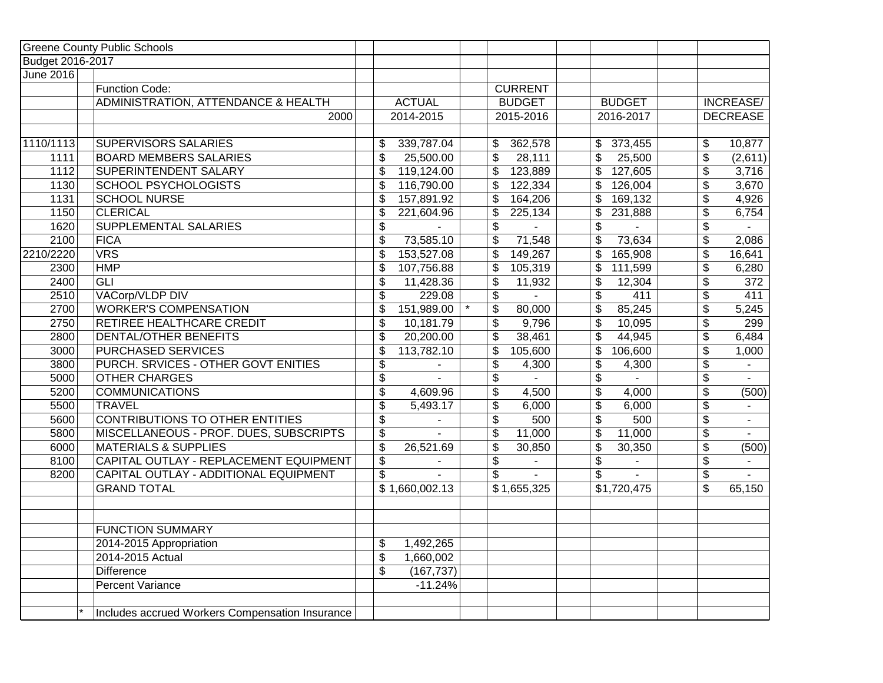|                  | <b>Greene County Public Schools</b>             |                                         |                                            |                                    |                          |                             |
|------------------|-------------------------------------------------|-----------------------------------------|--------------------------------------------|------------------------------------|--------------------------|-----------------------------|
| Budget 2016-2017 |                                                 |                                         |                                            |                                    |                          |                             |
| <b>June 2016</b> |                                                 |                                         |                                            |                                    |                          |                             |
|                  | <b>Function Code:</b>                           |                                         | <b>CURRENT</b>                             |                                    |                          |                             |
|                  | ADMINISTRATION, ATTENDANCE & HEALTH             | <b>ACTUAL</b>                           | <b>BUDGET</b>                              | <b>BUDGET</b>                      |                          | INCREASE/                   |
|                  | 2000                                            | 2014-2015                               | 2015-2016                                  | 2016-2017                          |                          | <b>DECREASE</b>             |
|                  |                                                 |                                         |                                            |                                    |                          |                             |
| 1110/1113        | <b>SUPERVISORS SALARIES</b>                     | 339,787.04<br>\$                        | 362,578<br>\$                              | 373,455<br>\$                      | \$                       | 10,877                      |
| 1111             | <b>BOARD MEMBERS SALARIES</b>                   | $\overline{\mathcal{S}}$<br>25,500.00   | \$<br>28,111                               | $\overline{\mathcal{S}}$<br>25,500 | $\overline{\mathcal{G}}$ | (2,611)                     |
| 1112             | SUPERINTENDENT SALARY                           | \$<br>119,124.00                        | 123,889<br>\$                              | \$<br>127,605                      | \$                       | 3,716                       |
| 1130             | <b>SCHOOL PSYCHOLOGISTS</b>                     | $\overline{\mathcal{E}}$<br>116,790.00  | 122,334<br>\$                              | 126,004<br>\$                      | $\overline{\mathbf{e}}$  | 3,670                       |
| 1131             | <b>SCHOOL NURSE</b>                             | \$<br>157,891.92                        | \$<br>164,206                              | \$<br>169,132                      | \$                       | 4,926                       |
| 1150             | <b>CLERICAL</b>                                 | \$<br>221,604.96                        | \$<br>225,134                              | \$<br>231,888                      | \$                       | 6,754                       |
| 1620             | SUPPLEMENTAL SALARIES                           | $\overline{\$}$                         | $\overline{\$}$                            | $\overline{\$}$                    | $\overline{\$}$          |                             |
| 2100             | <b>FICA</b>                                     | $\overline{\$}$<br>73,585.10            | 71,548<br>\$                               | $\overline{\$}$<br>73,634          | $\overline{\$}$          | 2,086                       |
| 2210/2220        | VRS                                             | $\overline{\$}$<br>153,527.08           | $\overline{\$}$<br>149,267                 | $\overline{\$}$<br>165,908         | $\overline{\$}$          | 16,641                      |
| 2300             | <b>HMP</b>                                      | \$<br>107,756.88                        | \$<br>105,319                              | \$<br>111,599                      | $\overline{\$}$          | 6,280                       |
| 2400             | $\overline{GLI}$                                | \$<br>11,428.36                         | \$<br>11,932                               | \$<br>12,304                       | \$                       | 372                         |
| 2510             | VACorp/VLDP DIV                                 | $\overline{\$}$<br>229.08               | $\overline{\$}$                            | $\overline{\$}$<br>411             | $\overline{\$}$          | 411                         |
| 2700             | <b>WORKER'S COMPENSATION</b>                    | 151,989.00<br>\$                        | \$<br>80,000                               | 85,245<br>\$                       | $\overline{\$}$          | 5,245                       |
| 2750             | RETIREE HEALTHCARE CREDIT                       | $\overline{\$}$<br>10,181.79            | \$<br>9,796                                | $\overline{\$}$<br>10,095          | $\overline{\$}$          | 299                         |
| 2800             | <b>DENTAL/OTHER BENEFITS</b>                    | $\overline{\mathcal{L}}$<br>20,200.00   | \$<br>38,461                               | \$<br>44,945                       | \$                       | 6,484                       |
| 3000             | PURCHASED SERVICES                              | \$<br>113,782.10                        | \$<br>105,600                              | \$<br>106,600                      | \$                       | 1,000                       |
| 3800             | PURCH. SRVICES - OTHER GOVT ENITIES             | \$                                      | \$<br>4,300                                | \$<br>4,300                        | $\overline{\mathcal{L}}$ |                             |
| 5000             | <b>OTHER CHARGES</b>                            | \$<br>ä.                                | $\overline{\mathcal{L}}$<br>$\overline{a}$ | $\overline{\mathcal{L}}$           | $\overline{\mathcal{L}}$ | $\mathcal{L}^{\mathcal{L}}$ |
| 5200             | <b>COMMUNICATIONS</b>                           | $\overline{\mathcal{E}}$<br>4,609.96    | \$<br>4,500                                | $\overline{\$}$<br>4,000           | $\overline{\mathcal{L}}$ | (500)                       |
| 5500             | <b>TRAVEL</b>                                   | \$<br>5,493.17                          | \$<br>6,000                                | \$<br>6,000                        | \$                       | $\sim$                      |
| 5600             | <b>CONTRIBUTIONS TO OTHER ENTITIES</b>          | $\overline{\mathcal{S}}$                | \$<br>500                                  | $\overline{\mathbf{S}}$<br>500     | $\overline{\mathbf{e}}$  | $\mathbf{r}$                |
| 5800             | MISCELLANEOUS - PROF. DUES, SUBSCRIPTS          | $\overline{\mathbf{S}}$<br>$\mathbf{r}$ | \$<br>11,000                               | \$<br>11,000                       | \$                       | $\mathbb{Z}^{\mathbb{Z}}$   |
| 6000             | <b>MATERIALS &amp; SUPPLIES</b>                 | $\overline{\$}$<br>26,521.69            | \$<br>30,850                               | \$<br>30,350                       | \$                       | (500)                       |
| 8100             | CAPITAL OUTLAY - REPLACEMENT EQUIPMENT          | $\overline{\mathcal{G}}$                | \$                                         | \$                                 | \$                       | $\sim$                      |
| 8200             | CAPITAL OUTLAY - ADDITIONAL EQUIPMENT           | $\overline{\mathcal{S}}$                | \$<br>$\blacksquare$                       | \$                                 | \$                       |                             |
|                  | <b>GRAND TOTAL</b>                              | \$1,660,002.13                          | \$1,655,325                                | \$1,720,475                        | \$                       | 65,150                      |
|                  |                                                 |                                         |                                            |                                    |                          |                             |
|                  |                                                 |                                         |                                            |                                    |                          |                             |
|                  | <b>FUNCTION SUMMARY</b>                         |                                         |                                            |                                    |                          |                             |
|                  | 2014-2015 Appropriation                         | \$<br>1,492,265                         |                                            |                                    |                          |                             |
|                  | 2014-2015 Actual                                | $\overline{\mathcal{G}}$<br>1,660,002   |                                            |                                    |                          |                             |
|                  | <b>Difference</b>                               | \$<br>(167, 737)                        |                                            |                                    |                          |                             |
|                  | <b>Percent Variance</b>                         | $-11.24%$                               |                                            |                                    |                          |                             |
|                  |                                                 |                                         |                                            |                                    |                          |                             |
|                  | Includes accrued Workers Compensation Insurance |                                         |                                            |                                    |                          |                             |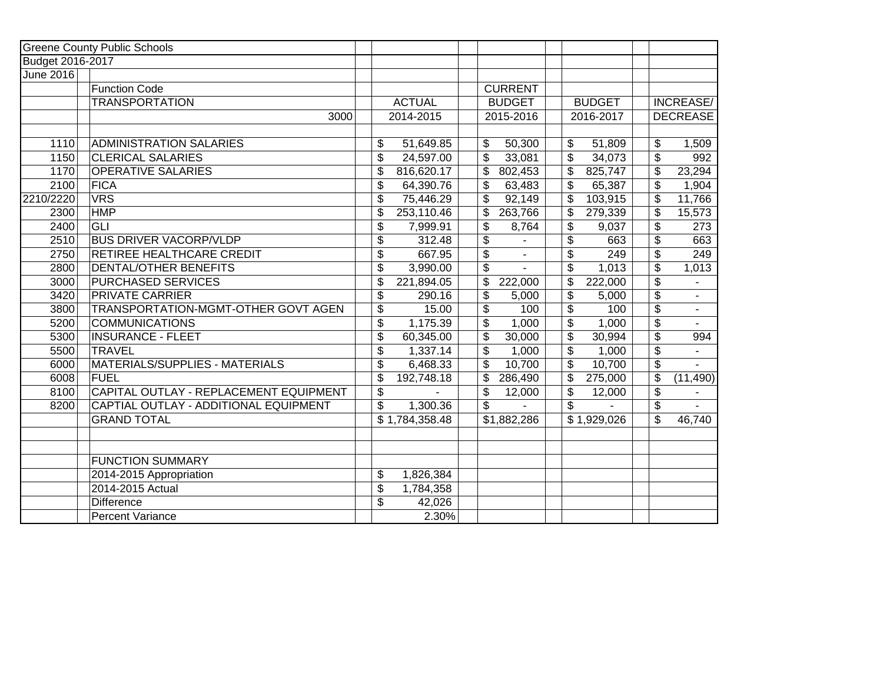|                   | <b>Greene County Public Schools</b>    |                               |                          |                |               |                                      |                          |
|-------------------|----------------------------------------|-------------------------------|--------------------------|----------------|---------------|--------------------------------------|--------------------------|
| Budget 2016-2017  |                                        |                               |                          |                |               |                                      |                          |
| June 2016         |                                        |                               |                          |                |               |                                      |                          |
|                   | <b>Function Code</b>                   |                               |                          | <b>CURRENT</b> |               |                                      |                          |
|                   | <b>TRANSPORTATION</b>                  | <b>ACTUAL</b>                 |                          | <b>BUDGET</b>  | <b>BUDGET</b> |                                      | INCREASE/                |
|                   | 3000                                   | 2014-2015                     |                          | 2015-2016      | 2016-2017     |                                      | <b>DECREASE</b>          |
|                   |                                        |                               |                          |                |               |                                      |                          |
| $\overline{1}110$ | <b>ADMINISTRATION SALARIES</b>         | 51,649.85<br>\$               | \$                       | 50,300         | \$<br>51,809  | \$                                   | 1,509                    |
| 1150              | <b>CLERICAL SALARIES</b>               | \$<br>24,597.00               | \$                       | 33,081         | \$<br>34,073  | $\overline{\boldsymbol{\mathsf{s}}}$ | 992                      |
| 1170              | <b>OPERATIVE SALARIES</b>              | \$<br>816,620.17              | \$                       | 802,453        | \$<br>825,747 | \$                                   | 23,294                   |
| 2100              | <b>FICA</b>                            | \$<br>64,390.76               | \$                       | 63,483         | \$<br>65,387  | $\overline{\boldsymbol{\mathsf{s}}}$ | 1,904                    |
| 2210/2220         | <b>VRS</b>                             | \$<br>75,446.29               | $\overline{\mathcal{E}}$ | 92,149         | \$<br>103,915 | $\overline{\boldsymbol{\theta}}$     | 11,766                   |
| 2300              | <b>HMP</b>                             | \$<br>253,110.46              | \$                       | 263,766        | \$<br>279,339 | $\overline{\boldsymbol{\theta}}$     | 15,573                   |
| 2400              | <b>GLI</b>                             | $\overline{\$}$<br>7,999.91   | \$                       | 8,764          | \$<br>9,037   | $\overline{\$}$                      | 273                      |
| 2510              | <b>BUS DRIVER VACORP/VLDP</b>          | $\overline{\$}$<br>312.48     | $\overline{\$}$          |                | \$<br>663     | $\overline{\$}$                      | 663                      |
| 2750              | RETIREE HEALTHCARE CREDIT              | \$<br>667.95                  | $\overline{\$}$          | $\blacksquare$ | \$<br>249     | $\overline{\$}$                      | 249                      |
| 2800              | DENTAL/OTHER BENEFITS                  | \$<br>3,990.00                | \$                       |                | \$<br>1,013   | $\overline{\$}$                      | 1,013                    |
| 3000              | <b>PURCHASED SERVICES</b>              | $\overline{\$}$<br>221,894.05 | \$                       | 222,000        | \$<br>222,000 | $\overline{\$}$                      | $\blacksquare$           |
| 3420              | <b>PRIVATE CARRIER</b>                 | $\overline{\$}$<br>290.16     | \$                       | 5,000          | \$<br>5,000   | $\overline{\mathcal{S}}$             | $\blacksquare$           |
| 3800              | TRANSPORTATION-MGMT-OTHER GOVT AGEN    | \$<br>15.00                   | \$                       | 100            | \$<br>100     | $\overline{\$}$                      | $\overline{\phantom{a}}$ |
| 5200              | <b>COMMUNICATIONS</b>                  | $\overline{\$}$<br>1,175.39   | \$                       | 1,000          | \$<br>1,000   | $\overline{\mathcal{L}}$             |                          |
| 5300              | <b>INSURANCE - FLEET</b>               | $\overline{\$}$<br>60,345.00  | \$                       | 30,000         | \$<br>30,994  | $\overline{\$}$                      | 994                      |
| 5500              | <b>TRAVEL</b>                          | \$<br>1,337.14                | \$                       | 1,000          | \$<br>1,000   | $\overline{\boldsymbol{\mathsf{S}}}$ |                          |
| 6000              | MATERIALS/SUPPLIES - MATERIALS         | \$<br>6,468.33                | \$                       | 10,700         | \$<br>10,700  | $\overline{\$}$                      |                          |
| 6008              | <b>FUEL</b>                            | \$<br>192,748.18              | \$                       | 286,490        | \$<br>275,000 | $\overline{\mathcal{L}}$             | (11, 490)                |
| 8100              | CAPITAL OUTLAY - REPLACEMENT EQUIPMENT | \$                            | \$                       | 12,000         | \$<br>12,000  | $\overline{\boldsymbol{\mathsf{S}}}$ |                          |
| 8200              | CAPTIAL OUTLAY - ADDITIONAL EQUIPMENT  | \$<br>1,300.36                | \$                       |                | \$            | $\overline{\mathbf{3}}$              |                          |
|                   | <b>GRAND TOTAL</b>                     | \$1,784,358.48                |                          | \$1,882,286    | \$1,929,026   | \$                                   | 46,740                   |
|                   |                                        |                               |                          |                |               |                                      |                          |
|                   |                                        |                               |                          |                |               |                                      |                          |
|                   | <b>FUNCTION SUMMARY</b>                |                               |                          |                |               |                                      |                          |
|                   | 2014-2015 Appropriation                | \$<br>1,826,384               |                          |                |               |                                      |                          |
|                   | 2014-2015 Actual                       | \$<br>1,784,358               |                          |                |               |                                      |                          |
|                   | Difference                             | \$<br>42,026                  |                          |                |               |                                      |                          |
|                   | Percent Variance                       | 2.30%                         |                          |                |               |                                      |                          |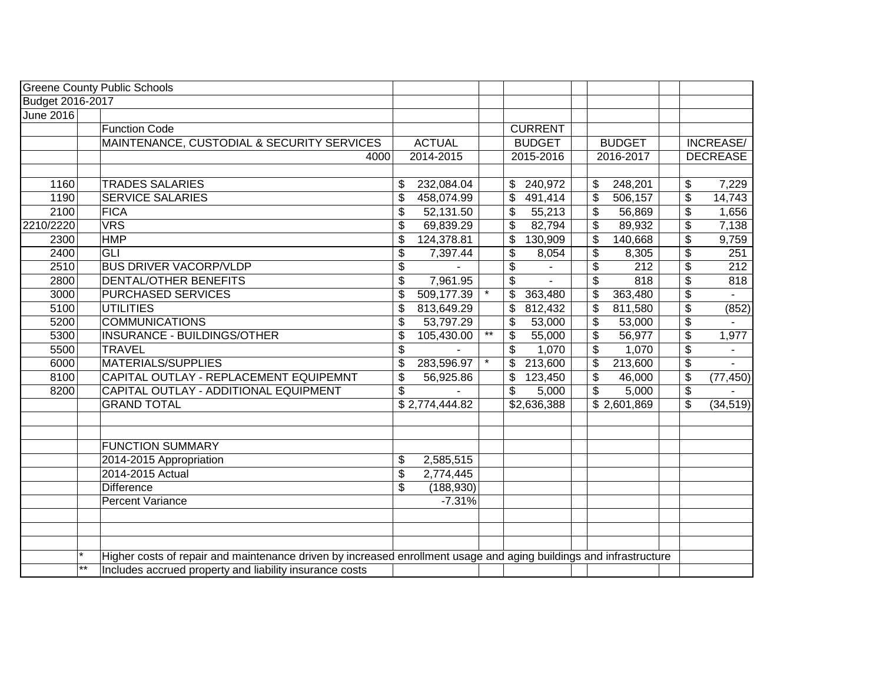|                                      | <b>Greene County Public Schools</b>                                                                                |                            |                 |                           |                          |                  |                                  |                                     |
|--------------------------------------|--------------------------------------------------------------------------------------------------------------------|----------------------------|-----------------|---------------------------|--------------------------|------------------|----------------------------------|-------------------------------------|
| Budget 2016-2017<br><b>June 2016</b> |                                                                                                                    |                            |                 |                           |                          |                  |                                  |                                     |
|                                      | <b>Function Code</b>                                                                                               |                            |                 |                           |                          |                  |                                  |                                     |
|                                      |                                                                                                                    |                            |                 | <b>CURRENT</b>            |                          |                  |                                  |                                     |
|                                      | MAINTENANCE, CUSTODIAL & SECURITY SERVICES                                                                         | <b>ACTUAL</b><br>2014-2015 |                 | <b>BUDGET</b>             |                          | <b>BUDGET</b>    |                                  | <b>INCREASE/</b><br><b>DECREASE</b> |
|                                      | 4000                                                                                                               |                            |                 | 2015-2016                 |                          | 2016-2017        |                                  |                                     |
| 1160                                 | <b>TRADES SALARIES</b>                                                                                             | \$<br>232,084.04           |                 | \$240,972                 | \$                       | 248,201          | \$                               | 7,229                               |
| 1190                                 | <b>SERVICE SALARIES</b>                                                                                            | \$<br>458,074.99           |                 | 491,414<br>\$             | $\mathfrak{L}$           | 506,157          | \$                               | 14,743                              |
| 2100                                 | <b>FICA</b>                                                                                                        | \$<br>52,131.50            |                 | 55,213<br>\$              | $\mathfrak{L}$           | 56,869           | $\mathfrak{S}$                   | 1,656                               |
| 2210/2220                            | <b>VRS</b>                                                                                                         | \$<br>69,839.29            |                 | \$<br>82,794              | \$                       | 89,932           | \$                               | 7,138                               |
| 2300                                 | <b>HMP</b>                                                                                                         | \$<br>124,378.81           |                 | 130,909<br>\$             | \$                       | 140,668          | \$                               | 9,759                               |
| 2400                                 | GLI                                                                                                                | \$<br>7,397.44             |                 | \$<br>8,054               | \$                       | 8,305            | \$                               | 251                                 |
| 2510                                 | <b>BUS DRIVER VACORP/VLDP</b>                                                                                      | \$                         |                 | \$                        | $\overline{\mathbf{e}}$  | $\overline{212}$ | $\overline{\boldsymbol{\theta}}$ | $\overline{212}$                    |
| 2800                                 | <b>DENTAL/OTHER BENEFITS</b>                                                                                       | \$<br>7,961.95             |                 | $\overline{\mathcal{S}}$  | $\overline{\mathbf{S}}$  | 818              | $\overline{\boldsymbol{\theta}}$ | 818                                 |
| 3000                                 | <b>PURCHASED SERVICES</b>                                                                                          | \$<br>509,177.39           |                 | \$<br>363,480             | $\sqrt[6]{\frac{1}{2}}$  | 363,480          | \$                               |                                     |
| 5100                                 | <b>UTILITIES</b>                                                                                                   | \$<br>813,649.29           |                 | \$<br>812,432             | $\overline{\mathbf{S}}$  | 811,580          | $\overline{\boldsymbol{\theta}}$ | (852)                               |
| 5200                                 | <b>COMMUNICATIONS</b>                                                                                              | \$<br>53,797.29            |                 | \$<br>53,000              | $\overline{\mathcal{S}}$ | 53,000           | $\overline{\boldsymbol{\theta}}$ |                                     |
| 5300                                 | <b>INSURANCE - BUILDINGS/OTHER</b>                                                                                 | \$<br>105,430.00           | $^{\star\star}$ | $\overline{\$}$<br>55,000 | $\overline{\$}$          | 56,977           | $\overline{\mathbf{e}}$          | 1,977                               |
| 5500                                 | <b>TRAVEL</b>                                                                                                      | \$                         |                 | \$<br>1,070               | \$                       | 1,070            | \$                               |                                     |
| 6000                                 | <b>MATERIALS/SUPPLIES</b>                                                                                          | \$<br>283,596.97           |                 | 213,600<br>\$             | \$                       | 213,600          | \$                               | $\sim$                              |
| 8100                                 | CAPITAL OUTLAY - REPLACEMENT EQUIPEMNT                                                                             | \$<br>56,925.86            |                 | \$<br>123,450             | \$                       | 46,000           | \$                               | (77, 450)                           |
| 8200                                 | CAPITAL OUTLAY - ADDITIONAL EQUIPMENT                                                                              | \$                         |                 | 5,000<br>\$               | $\sqrt[6]{\frac{1}{2}}$  | 5,000            | \$                               |                                     |
|                                      | <b>GRAND TOTAL</b>                                                                                                 | \$2,774,444.82             |                 | \$2,636,388               |                          | \$2,601,869      | \$                               | (34, 519)                           |
|                                      | <b>FUNCTION SUMMARY</b>                                                                                            |                            |                 |                           |                          |                  |                                  |                                     |
|                                      | 2014-2015 Appropriation                                                                                            | \$<br>2,585,515            |                 |                           |                          |                  |                                  |                                     |
|                                      | 2014-2015 Actual                                                                                                   | \$<br>2,774,445            |                 |                           |                          |                  |                                  |                                     |
|                                      | <b>Difference</b>                                                                                                  | \$<br>(188, 930)           |                 |                           |                          |                  |                                  |                                     |
|                                      | Percent Variance                                                                                                   | $-7.31%$                   |                 |                           |                          |                  |                                  |                                     |
|                                      |                                                                                                                    |                            |                 |                           |                          |                  |                                  |                                     |
|                                      | Higher costs of repair and maintenance driven by increased enrollment usage and aging buildings and infrastructure |                            |                 |                           |                          |                  |                                  |                                     |
| $**$                                 | Includes accrued property and liability insurance costs                                                            |                            |                 |                           |                          |                  |                                  |                                     |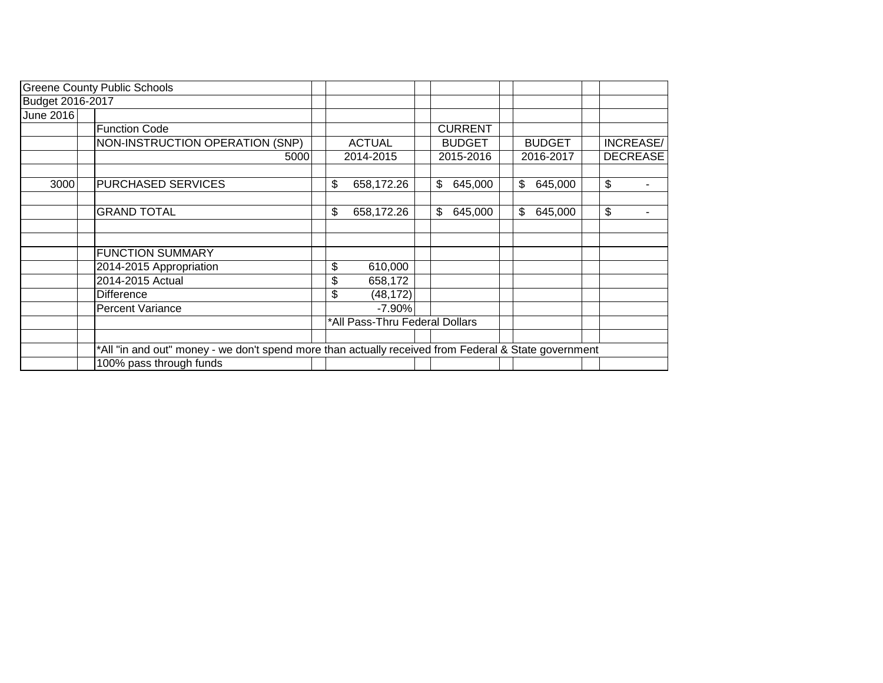|                  | <b>Greene County Public Schools</b>                                                                  |                                |                |               |                 |  |
|------------------|------------------------------------------------------------------------------------------------------|--------------------------------|----------------|---------------|-----------------|--|
| Budget 2016-2017 |                                                                                                      |                                |                |               |                 |  |
| <b>June 2016</b> |                                                                                                      |                                |                |               |                 |  |
|                  | <b>Function Code</b>                                                                                 |                                | <b>CURRENT</b> |               |                 |  |
|                  | NON-INSTRUCTION OPERATION (SNP)                                                                      | <b>ACTUAL</b>                  | <b>BUDGET</b>  | <b>BUDGET</b> | INCREASE/       |  |
|                  | 5000                                                                                                 | 2014-2015                      | 2015-2016      | 2016-2017     | <b>DECREASE</b> |  |
| 3000             | PURCHASED SERVICES                                                                                   | \$<br>658,172.26               | \$<br>645,000  | \$<br>645,000 | \$              |  |
|                  | <b>GRAND TOTAL</b>                                                                                   | \$<br>658,172.26               | \$<br>645,000  | \$<br>645,000 | \$              |  |
|                  |                                                                                                      |                                |                |               |                 |  |
|                  | <b>FUNCTION SUMMARY</b>                                                                              |                                |                |               |                 |  |
|                  | 2014-2015 Appropriation                                                                              | \$<br>610,000                  |                |               |                 |  |
|                  | 2014-2015 Actual                                                                                     | \$<br>658,172                  |                |               |                 |  |
|                  | <b>Difference</b>                                                                                    | \$<br>(48, 172)                |                |               |                 |  |
|                  | <b>Percent Variance</b>                                                                              | $-7.90\%$                      |                |               |                 |  |
|                  |                                                                                                      | *All Pass-Thru Federal Dollars |                |               |                 |  |
|                  | *All "in and out" money - we don't spend more than actually received from Federal & State government |                                |                |               |                 |  |
|                  | 100% pass through funds                                                                              |                                |                |               |                 |  |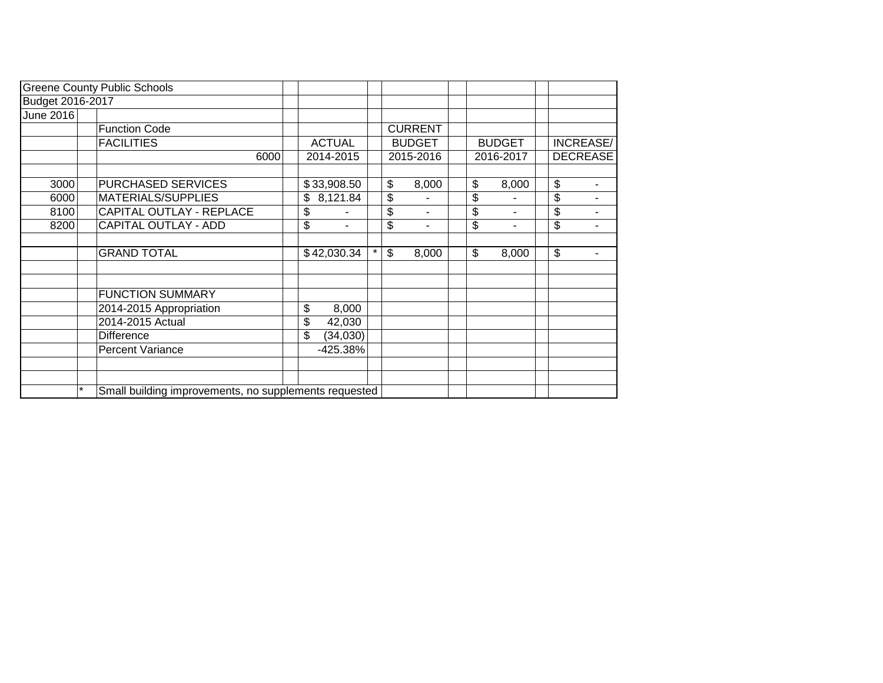|                  | <b>Greene County Public Schools</b> |                                                       |                      |         |    |                |  |    |               |    |                 |
|------------------|-------------------------------------|-------------------------------------------------------|----------------------|---------|----|----------------|--|----|---------------|----|-----------------|
| Budget 2016-2017 |                                     |                                                       |                      |         |    |                |  |    |               |    |                 |
| June 2016        |                                     |                                                       |                      |         |    |                |  |    |               |    |                 |
|                  | <b>Function Code</b>                |                                                       |                      |         |    | <b>CURRENT</b> |  |    |               |    |                 |
|                  | <b>FACILITIES</b>                   |                                                       | <b>ACTUAL</b>        |         |    | <b>BUDGET</b>  |  |    | <b>BUDGET</b> |    | INCREASE/       |
|                  | 6000                                |                                                       | 2014-2015            |         |    | 2015-2016      |  |    | 2016-2017     |    | <b>DECREASE</b> |
|                  |                                     |                                                       |                      |         |    |                |  |    |               |    |                 |
| 3000             | PURCHASED SERVICES                  |                                                       | \$33,908.50          |         | \$ | 8,000          |  | \$ | 8,000         | \$ |                 |
| 6000             | MATERIALS/SUPPLIES                  |                                                       | 8,121.84<br>\$       |         | \$ |                |  | \$ |               | \$ |                 |
| 8100             | CAPITAL OUTLAY - REPLACE            |                                                       | \$                   |         | \$ | ٠              |  | \$ | ۰             | \$ | Ξ.              |
| 8200             | <b>CAPITAL OUTLAY - ADD</b>         |                                                       | \$<br>$\blacksquare$ |         | \$ | ٠              |  | \$ | ۰             | \$ | $\blacksquare$  |
|                  |                                     |                                                       |                      |         |    |                |  |    |               |    |                 |
|                  | <b>GRAND TOTAL</b>                  |                                                       | \$42,030.34          | $\star$ | \$ | 8,000          |  | \$ | 8,000         | \$ |                 |
|                  |                                     |                                                       |                      |         |    |                |  |    |               |    |                 |
|                  |                                     |                                                       |                      |         |    |                |  |    |               |    |                 |
|                  | <b>FUNCTION SUMMARY</b>             |                                                       |                      |         |    |                |  |    |               |    |                 |
|                  | 2014-2015 Appropriation             |                                                       | \$<br>8,000          |         |    |                |  |    |               |    |                 |
|                  | 2014-2015 Actual                    |                                                       | \$<br>42,030         |         |    |                |  |    |               |    |                 |
|                  | <b>Difference</b>                   |                                                       | \$<br>(34,030)       |         |    |                |  |    |               |    |                 |
|                  | Percent Variance                    |                                                       | -425.38%             |         |    |                |  |    |               |    |                 |
|                  |                                     |                                                       |                      |         |    |                |  |    |               |    |                 |
|                  |                                     |                                                       |                      |         |    |                |  |    |               |    |                 |
|                  |                                     | Small building improvements, no supplements requested |                      |         |    |                |  |    |               |    |                 |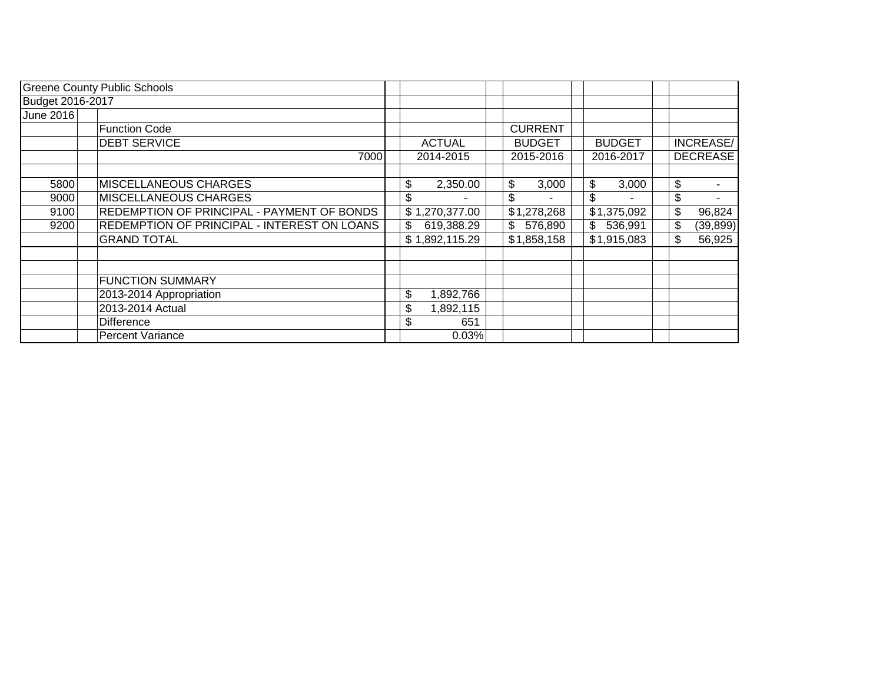|                  | <b>Greene County Public Schools</b>         |                  |                |               |                           |                 |
|------------------|---------------------------------------------|------------------|----------------|---------------|---------------------------|-----------------|
| Budget 2016-2017 |                                             |                  |                |               |                           |                 |
| June 2016        |                                             |                  |                |               |                           |                 |
|                  | <b>Function Code</b>                        |                  | <b>CURRENT</b> |               |                           |                 |
|                  | <b>DEBT SERVICE</b>                         | <b>ACTUAL</b>    | <b>BUDGET</b>  | <b>BUDGET</b> |                           | INCREASE/       |
|                  | 7000                                        | 2014-2015        | 2015-2016      | 2016-2017     |                           | <b>DECREASE</b> |
|                  |                                             |                  |                |               |                           |                 |
| 5800             | <b>MISCELLANEOUS CHARGES</b>                | \$<br>2,350.00   | \$<br>3,000    | \$<br>3,000   | \$                        |                 |
| 9000             | <b>MISCELLANEOUS CHARGES</b>                | \$               | \$             | \$            | $\boldsymbol{\mathsf{S}}$ |                 |
| 9100             | REDEMPTION OF PRINCIPAL - PAYMENT OF BONDS  | \$1,270,377.00   | \$1,278,268    | \$1,375,092   | \$                        | 96,824          |
| 9200             | REDEMPTION OF PRINCIPAL - INTEREST ON LOANS | \$<br>619,388.29 | \$<br>576,890  | \$<br>536,991 | \$                        | (39, 899)       |
|                  | <b>GRAND TOTAL</b>                          | \$1,892,115.29   | \$1,858,158    | \$1,915,083   | \$                        | 56,925          |
|                  |                                             |                  |                |               |                           |                 |
|                  |                                             |                  |                |               |                           |                 |
|                  | <b>FUNCTION SUMMARY</b>                     |                  |                |               |                           |                 |
|                  | 2013-2014 Appropriation                     | \$<br>1,892,766  |                |               |                           |                 |
|                  | 2013-2014 Actual                            | \$<br>1,892,115  |                |               |                           |                 |
|                  | <b>Difference</b>                           | \$<br>651        |                |               |                           |                 |
|                  | <b>Percent Variance</b>                     | 0.03%            |                |               |                           |                 |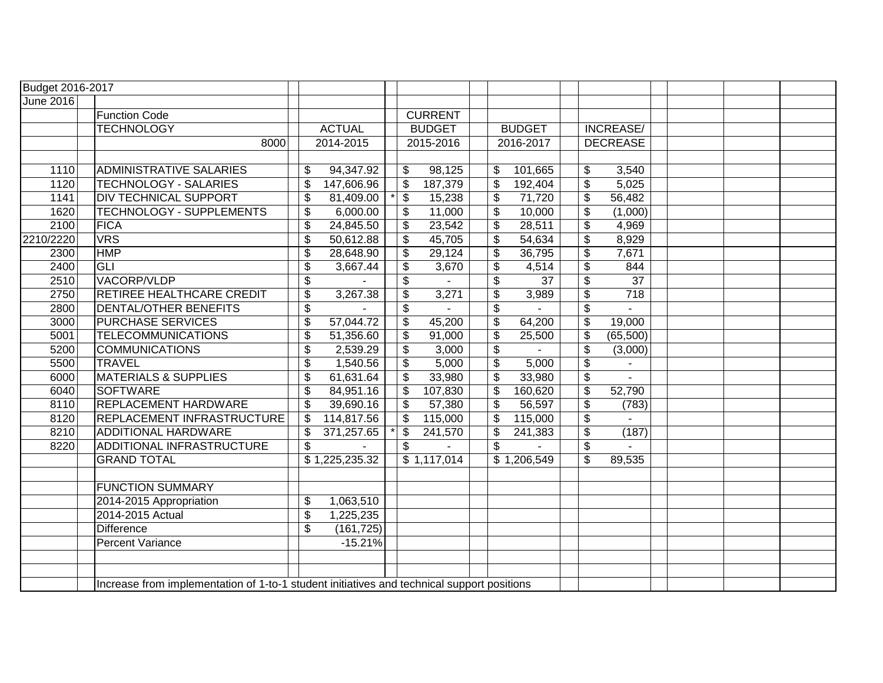| <b>Budget 2016-2017</b> |                                                                                            |                                  |                |    |                |                                      |               |                          |                  |  |  |  |
|-------------------------|--------------------------------------------------------------------------------------------|----------------------------------|----------------|----|----------------|--------------------------------------|---------------|--------------------------|------------------|--|--|--|
| <b>June 2016</b>        |                                                                                            |                                  |                |    |                |                                      |               |                          |                  |  |  |  |
|                         | <b>Function Code</b>                                                                       |                                  |                |    | <b>CURRENT</b> |                                      |               |                          |                  |  |  |  |
|                         | <b>TECHNOLOGY</b>                                                                          |                                  | <b>ACTUAL</b>  |    | <b>BUDGET</b>  |                                      | <b>BUDGET</b> |                          | INCREASE/        |  |  |  |
|                         | 8000                                                                                       |                                  | 2014-2015      |    | 2015-2016      |                                      | 2016-2017     |                          | <b>DECREASE</b>  |  |  |  |
|                         |                                                                                            |                                  |                |    |                |                                      |               |                          |                  |  |  |  |
| 1110                    | <b>ADMINISTRATIVE SALARIES</b>                                                             | \$                               | 94,347.92      | \$ | 98,125         | \$                                   | 101,665       | \$                       | 3,540            |  |  |  |
| 1120                    | TECHNOLOGY - SALARIES                                                                      | \$                               | 147,606.96     | \$ | 187,379        | \$                                   | 192,404       | \$                       | 5,025            |  |  |  |
| 1141                    | <b>DIV TECHNICAL SUPPORT</b>                                                               | $\boldsymbol{\mathsf{S}}$        | 81,409.00      | \$ | 15,238         | \$                                   | 71,720        | \$                       | 56,482           |  |  |  |
| 1620                    | TECHNOLOGY - SUPPLEMENTS                                                                   | $\boldsymbol{\mathsf{S}}$        | 6,000.00       | \$ | 11,000         | \$                                   | 10,000        | \$                       | (1,000)          |  |  |  |
| 2100                    | FICA                                                                                       | $\boldsymbol{\theta}$            | 24,845.50      | \$ | 23,542         | \$                                   | 28,511        | \$                       | 4,969            |  |  |  |
| 2210/2220               | <b>VRS</b>                                                                                 | $\boldsymbol{\theta}$            | 50,612.88      | \$ | 45,705         | $\boldsymbol{\mathsf{S}}$            | 54,634        | \$                       | 8,929            |  |  |  |
| 2300                    | <b>HMP</b>                                                                                 | $\boldsymbol{\theta}$            | 28,648.90      | \$ | 29,124         | \$                                   | 36,795        | \$                       | 7,671            |  |  |  |
| 2400                    | <b>GLI</b>                                                                                 | \$                               | 3,667.44       | \$ | 3,670          | \$                                   | 4,514         | \$                       | 844              |  |  |  |
| 2510                    | VACORP/VLDP                                                                                | \$                               |                | \$ |                | \$                                   | 37            | \$                       | $\overline{37}$  |  |  |  |
| 2750                    | RETIREE HEALTHCARE CREDIT                                                                  | $\overline{\boldsymbol{\theta}}$ | 3,267.38       | \$ | 3,271          | $\overline{\boldsymbol{\mathsf{s}}}$ | 3,989         | $\overline{\mathcal{S}}$ | $\overline{718}$ |  |  |  |
| 2800                    | <b>DENTAL/OTHER BENEFITS</b>                                                               | $\boldsymbol{\theta}$            |                | \$ |                | \$                                   |               | $\sqrt[6]{3}$            |                  |  |  |  |
| 3000                    | <b>PURCHASE SERVICES</b>                                                                   | $\boldsymbol{\theta}$            | 57,044.72      | \$ | 45,200         | \$                                   | 64,200        | \$                       | 19,000           |  |  |  |
| 5001                    | <b>TELECOMMUNICATIONS</b>                                                                  | $\boldsymbol{\theta}$            | 51,356.60      | \$ | 91,000         | \$                                   | 25,500        | \$                       | (65,500)         |  |  |  |
| 5200                    | <b>COMMUNICATIONS</b>                                                                      | $\overline{\boldsymbol{\theta}}$ | 2,539.29       | \$ | 3,000          | $\frac{1}{2}$                        |               | \$                       | (3,000)          |  |  |  |
| 5500                    | TRAVEL                                                                                     | $\boldsymbol{\theta}$            | 1,540.56       | \$ | 5,000          | \$                                   | 5,000         | \$                       |                  |  |  |  |
| 6000                    | <b>MATERIALS &amp; SUPPLIES</b>                                                            | $\boldsymbol{\theta}$            | 61,631.64      | \$ | 33,980         | \$                                   | 33,980        | \$                       | $\sim$           |  |  |  |
| 6040                    | SOFTWARE                                                                                   | $\boldsymbol{\mathsf{S}}$        | 84,951.16      | \$ | 107,830        | $\boldsymbol{\mathsf{S}}$            | 160,620       | \$                       | 52,790           |  |  |  |
| 8110                    | <b>REPLACEMENT HARDWARE</b>                                                                | $\boldsymbol{\mathsf{S}}$        | 39,690.16      | \$ | 57,380         | \$                                   | 56,597        | \$                       | (783)            |  |  |  |
| 8120                    | REPLACEMENT INFRASTRUCTURE                                                                 | $\boldsymbol{\mathsf{S}}$        | 114,817.56     | \$ | 115,000        | \$                                   | 115,000       | $\overline{\$}$          |                  |  |  |  |
| 8210                    | <b>ADDITIONAL HARDWARE</b>                                                                 | $\boldsymbol{\mathsf{S}}$        | 371,257.65     | \$ | 241,570        | \$                                   | 241,383       | $\overline{\$}$          | (187)            |  |  |  |
| 8220                    | ADDITIONAL INFRASTRUCTURE                                                                  | \$                               |                | \$ |                | \$                                   |               | $\overline{\$}$          |                  |  |  |  |
|                         | <b>GRAND TOTAL</b>                                                                         |                                  | \$1,225,235.32 |    | \$1,117,014    |                                      | \$1,206,549   | \$                       | 89,535           |  |  |  |
|                         |                                                                                            |                                  |                |    |                |                                      |               |                          |                  |  |  |  |
|                         | <b>FUNCTION SUMMARY</b>                                                                    |                                  |                |    |                |                                      |               |                          |                  |  |  |  |
|                         | 2014-2015 Appropriation                                                                    | $\frac{1}{2}$                    | 1,063,510      |    |                |                                      |               |                          |                  |  |  |  |
|                         | 2014-2015 Actual                                                                           | \$                               | 1,225,235      |    |                |                                      |               |                          |                  |  |  |  |
|                         | <b>Difference</b>                                                                          | \$                               | (161, 725)     |    |                |                                      |               |                          |                  |  |  |  |
|                         | Percent Variance                                                                           |                                  | $-15.21%$      |    |                |                                      |               |                          |                  |  |  |  |
|                         |                                                                                            |                                  |                |    |                |                                      |               |                          |                  |  |  |  |
|                         |                                                                                            |                                  |                |    |                |                                      |               |                          |                  |  |  |  |
|                         | Increase from implementation of 1-to-1 student initiatives and technical support positions |                                  |                |    |                |                                      |               |                          |                  |  |  |  |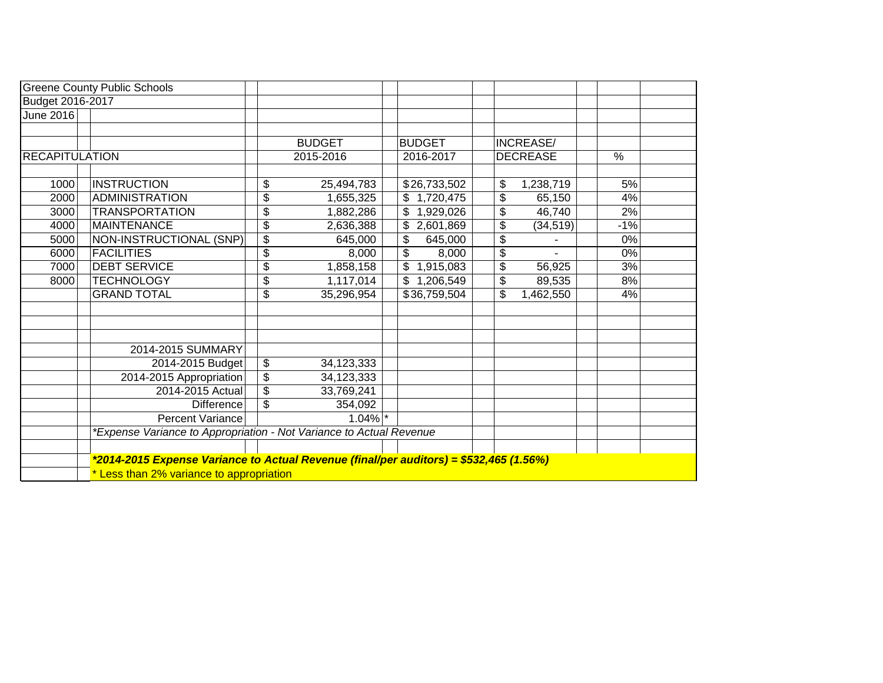|                       | <b>Greene County Public Schools</b>                                                    |                         |               |                  |                 |       |  |
|-----------------------|----------------------------------------------------------------------------------------|-------------------------|---------------|------------------|-----------------|-------|--|
| Budget 2016-2017      |                                                                                        |                         |               |                  |                 |       |  |
| <b>June 2016</b>      |                                                                                        |                         |               |                  |                 |       |  |
|                       |                                                                                        |                         |               |                  |                 |       |  |
|                       |                                                                                        |                         | <b>BUDGET</b> | <b>BUDGET</b>    | INCREASE/       |       |  |
| <b>RECAPITULATION</b> |                                                                                        |                         | 2015-2016     | 2016-2017        | <b>DECREASE</b> | %     |  |
|                       |                                                                                        |                         |               |                  |                 |       |  |
| 1000                  | <b>INSTRUCTION</b>                                                                     | \$                      | 25,494,783    | \$26,733,502     | 1,238,719<br>\$ | 5%    |  |
| 2000                  | ADMINISTRATION                                                                         | \$                      | 1,655,325     | 1,720,475<br>\$  | \$<br>65,150    | 4%    |  |
| 3000                  | <b>TRANSPORTATION</b>                                                                  | \$                      | 1,882,286     | \$<br>1,929,026  | \$<br>46,740    | 2%    |  |
| 4000                  | MAINTENANCE                                                                            | \$                      | 2,636,388     | 2,601,869<br>\$. | \$<br>(34, 519) | $-1%$ |  |
| 5000                  | $\left $ NON-INSTRUCTIONAL (SNP) $\right $                                             | \$                      | 645,000       | \$<br>645,000    | \$              | 0%    |  |
| 6000                  | <b>FACILITIES</b>                                                                      | \$                      | 8,000         | \$<br>8,000      | \$              | 0%    |  |
| 7000                  | <b>DEBT SERVICE</b>                                                                    | \$                      | 1,858,158     | \$<br>1,915,083  | \$<br>56,925    | 3%    |  |
| 8000                  | <b>TECHNOLOGY</b>                                                                      | \$                      | 1,117,014     | \$1,206,549      | \$<br>89,535    | 8%    |  |
|                       | <b>GRAND TOTAL</b>                                                                     | \$                      | 35,296,954    | \$36,759,504     | \$<br>1,462,550 | 4%    |  |
|                       |                                                                                        |                         |               |                  |                 |       |  |
|                       |                                                                                        |                         |               |                  |                 |       |  |
|                       |                                                                                        |                         |               |                  |                 |       |  |
|                       | 2014-2015 SUMMARY                                                                      |                         |               |                  |                 |       |  |
|                       | 2014-2015 Budget                                                                       | \$                      | 34,123,333    |                  |                 |       |  |
|                       | 2014-2015 Appropriation                                                                | \$                      | 34,123,333    |                  |                 |       |  |
|                       | 2014-2015 Actual                                                                       | $\overline{\mathbf{S}}$ | 33,769,241    |                  |                 |       |  |
|                       | <b>Difference</b>                                                                      | \$                      | 354,092       |                  |                 |       |  |
|                       | <b>Percent Variance</b>                                                                |                         | $1.04\%$ *    |                  |                 |       |  |
|                       | *Expense Variance to Appropriation - Not Variance to Actual Revenue                    |                         |               |                  |                 |       |  |
|                       |                                                                                        |                         |               |                  |                 |       |  |
|                       | *2014-2015 Expense Variance to Actual Revenue (final/per auditors) = \$532,465 (1.56%) |                         |               |                  |                 |       |  |
|                       | * Less than 2% variance to appropriation                                               |                         |               |                  |                 |       |  |